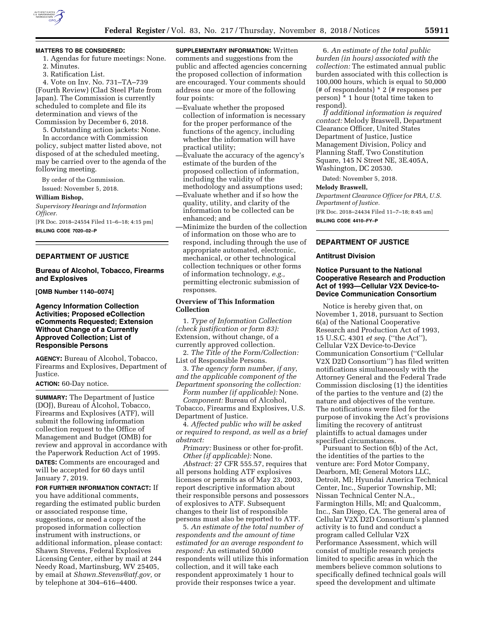

## **MATTERS TO BE CONSIDERED:**

- 1. Agendas for future meetings: None.
- 2. Minutes.
- 3. Ratification List.

4. Vote on Inv. No. 731–TA–739 (Fourth Review) (Clad Steel Plate from Japan). The Commission is currently scheduled to complete and file its determination and views of the Commission by December 6, 2018.

5. Outstanding action jackets: None. In accordance with Commission

policy, subject matter listed above, not disposed of at the scheduled meeting, may be carried over to the agenda of the following meeting.

By order of the Commission. Issued: November 5, 2018.

#### **William Bishop,**

*Supervisory Hearings and Information Officer.* 

[FR Doc. 2018–24554 Filed 11–6–18; 4:15 pm] **BILLING CODE 7020–02–P** 

### **DEPARTMENT OF JUSTICE**

### **Bureau of Alcohol, Tobacco, Firearms and Explosives**

**[OMB Number 1140–0074]** 

## **Agency Information Collection Activities; Proposed eCollection eComments Requested; Extension Without Change of a Currently Approved Collection; List of Responsible Persons**

**AGENCY:** Bureau of Alcohol, Tobacco, Firearms and Explosives, Department of Justice.

#### **ACTION:** 60-Day notice.

**SUMMARY:** The Department of Justice (DOJ), Bureau of Alcohol, Tobacco, Firearms and Explosives (ATF), will submit the following information collection request to the Office of Management and Budget (OMB) for review and approval in accordance with the Paperwork Reduction Act of 1995.

**DATES:** Comments are encouraged and will be accepted for 60 days until January 7, 2019.

### **FOR FURTHER INFORMATION CONTACT:** If

you have additional comments, regarding the estimated public burden or associated response time, suggestions, or need a copy of the proposed information collection instrument with instructions, or additional information, please contact: Shawn Stevens, Federal Explosives Licensing Center, either by mail at 244 Needy Road, Martinsburg, WV 25405, by email at *[Shawn.Stevens@atf.gov,](mailto:Shawn.Stevens@atf.gov)* or by telephone at 304–616–4400.

**SUPPLEMENTARY INFORMATION:** Written comments and suggestions from the public and affected agencies concerning the proposed collection of information are encouraged. Your comments should address one or more of the following four points:

- —Evaluate whether the proposed collection of information is necessary for the proper performance of the functions of the agency, including whether the information will have practical utility;
- —Evaluate the accuracy of the agency's estimate of the burden of the proposed collection of information, including the validity of the methodology and assumptions used;
- —Evaluate whether and if so how the quality, utility, and clarity of the information to be collected can be enhanced; and
- —Minimize the burden of the collection of information on those who are to respond, including through the use of appropriate automated, electronic, mechanical, or other technological collection techniques or other forms of information technology, *e.g.,*  permitting electronic submission of responses.

# **Overview of This Information Collection**

1. *Type of Information Collection (check justification or form 83):*  Extension, without change, of a currently approved collection.

2. *The Title of the Form/Collection:*  List of Responsible Persons.

3. *The agency form number, if any, and the applicable component of the Department sponsoring the collection:* 

*Form number (if applicable):* None. *Component:* Bureau of Alcohol,

Tobacco, Firearms and Explosives, U.S. Department of Justice.

4. *Affected public who will be asked or required to respond, as well as a brief abstract:* 

*Primary:* Business or other for-profit. *Other (if applicable):* None.

*Abstract:* 27 CFR 555.57, requires that all persons holding ATF explosives licenses or permits as of May 23, 2003, report descriptive information about their responsible persons and possessors of explosives to ATF. Subsequent changes to their list of responsible persons must also be reported to ATF.

5. *An estimate of the total number of respondents and the amount of time estimated for an average respondent to respond:* An estimated 50,000 respondents will utilize this information collection, and it will take each respondent approximately 1 hour to provide their responses twice a year.

6. *An estimate of the total public burden (in hours) associated with the collection:* The estimated annual public burden associated with this collection is 100,000 hours, which is equal to 50,000 (# of respondents) \* 2 (# responses per person) \* 1 hour (total time taken to respond).

*If additional information is required contact:* Melody Braswell, Department Clearance Officer, United States Department of Justice, Justice Management Division, Policy and Planning Staff, Two Constitution Square, 145 N Street NE, 3E.405A, Washington, DC 20530.

Dated: November 5, 2018.

### **Melody Braswell,**

*Department Clearance Officer for PRA, U.S. Department of Justice.* 

[FR Doc. 2018–24434 Filed 11–7–18; 8:45 am] **BILLING CODE 4410–FY–P** 

### **DEPARTMENT OF JUSTICE**

### **Antitrust Division**

## **Notice Pursuant to the National Cooperative Research and Production Act of 1993—Cellular V2X Device-to-Device Communication Consortium**

Notice is hereby given that, on November 1, 2018, pursuant to Section 6(a) of the National Cooperative Research and Production Act of 1993, 15 U.S.C. 4301 *et seq.* (''the Act''), Cellular V2X Device-to-Device Communication Consortium (''Cellular V2X D2D Consortium'') has filed written notifications simultaneously with the Attorney General and the Federal Trade Commission disclosing (1) the identities of the parties to the venture and (2) the nature and objectives of the venture. The notifications were filed for the purpose of invoking the Act's provisions limiting the recovery of antitrust plaintiffs to actual damages under specified circumstances.

Pursuant to Section 6(b) of the Act, the identities of the parties to the venture are: Ford Motor Company, Dearborn, MI; General Motors LLC, Detroit, MI; Hyundai America Technical Center, Inc., Superior Township, MI; Nissan Technical Center N.A., Farmington Hills, MI; and Qualcomm, Inc., San Diego, CA. The general area of Cellular V2X D2D Consortium's planned activity is to fund and conduct a program called Cellular V2X Performance Assessment, which will consist of multiple research projects limited to specific areas in which the members believe common solutions to specifically defined technical goals will speed the development and ultimate